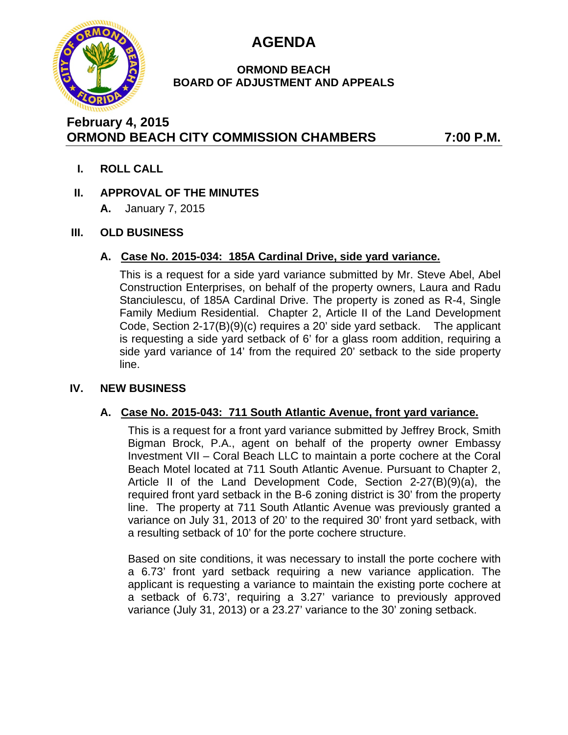

# **AGENDA**

### **ORMOND BEACH BOARD OF ADJUSTMENT AND APPEALS**

# **February 4, 2015 ORMOND BEACH CITY COMMISSION CHAMBERS 7:00 P.M.**

**I. ROLL CALL**

# **II. APPROVAL OF THE MINUTES**

**A.** January 7, 2015

# **III. OLD BUSINESS**

#### **A. Case No. 2015-034: 185A Cardinal Drive, side yard variance.**

This is a request for a side yard variance submitted by Mr. Steve Abel, Abel Construction Enterprises, on behalf of the property owners, Laura and Radu Stanciulescu, of 185A Cardinal Drive. The property is zoned as R-4, Single Family Medium Residential. Chapter 2, Article II of the Land Development Code, Section 2-17(B)(9)(c) requires a 20' side yard setback. The applicant is requesting a side yard setback of 6' for a glass room addition, requiring a side yard variance of 14' from the required 20' setback to the side property line.

# **IV. NEW BUSINESS**

# **A. Case No. 2015-043: 711 South Atlantic Avenue, front yard variance.**

This is a request for a front yard variance submitted by Jeffrey Brock, Smith Bigman Brock, P.A., agent on behalf of the property owner Embassy Investment VII – Coral Beach LLC to maintain a porte cochere at the Coral Beach Motel located at 711 South Atlantic Avenue. Pursuant to Chapter 2, Article II of the Land Development Code, Section 2-27(B)(9)(a), the required front yard setback in the B-6 zoning district is 30' from the property line. The property at 711 South Atlantic Avenue was previously granted a variance on July 31, 2013 of 20' to the required 30' front yard setback, with a resulting setback of 10' for the porte cochere structure.

Based on site conditions, it was necessary to install the porte cochere with a 6.73' front yard setback requiring a new variance application. The applicant is requesting a variance to maintain the existing porte cochere at a setback of 6.73', requiring a 3.27' variance to previously approved variance (July 31, 2013) or a 23.27' variance to the 30' zoning setback.